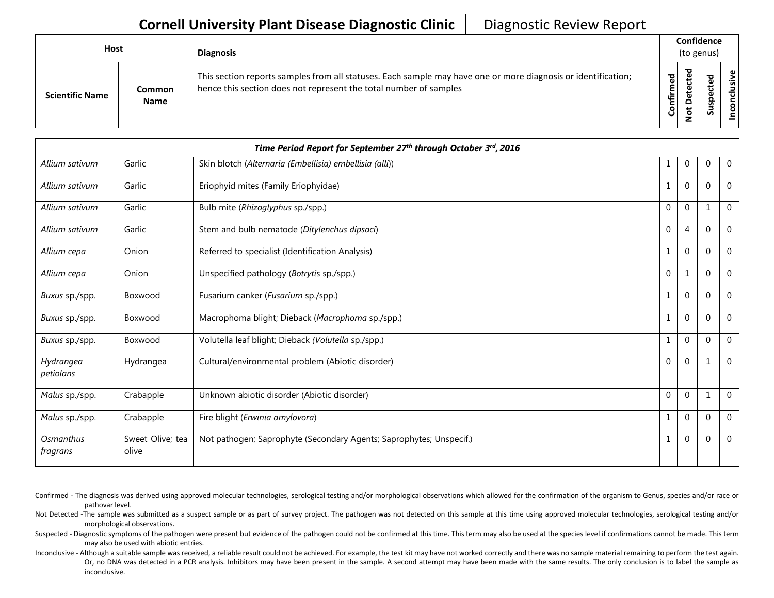## **Cornell University Plant Disease Diagnostic Clinic** | Diagnostic Review Report

| Host                   |                       | <b>Diagnosis</b>                                                                                                                                                                   |           |                                   |        | Confidence<br>(to genus) |  |  |  |  |
|------------------------|-----------------------|------------------------------------------------------------------------------------------------------------------------------------------------------------------------------------|-----------|-----------------------------------|--------|--------------------------|--|--|--|--|
| <b>Scientific Name</b> | Common<br><b>Name</b> | This section reports samples from all statuses. Each sample may have one or more diagnosis or identification;<br>hence this section does not represent the total number of samples | Confirmed | ъ<br>ن<br>ω<br>یو<br>≏<br>ىپ<br>⇁ | ਠ<br>ທ | usive<br>᠊ᠣ              |  |  |  |  |

|                        |                           | Time Period Report for September 27th through October 3rd, 2016     |              |                |              |                |
|------------------------|---------------------------|---------------------------------------------------------------------|--------------|----------------|--------------|----------------|
| Allium sativum         | Garlic                    | Skin blotch (Alternaria (Embellisia) embellisia (alli))             | $\mathbf 1$  | $\overline{0}$ | $\mathbf{0}$ | $\overline{0}$ |
| Allium sativum         | Garlic                    | Eriophyid mites (Family Eriophyidae)                                | 1            | $\mathbf{0}$   | $\Omega$     | $\Omega$       |
| Allium sativum         | Garlic                    | Bulb mite (Rhizoglyphus sp./spp.)                                   | 0            | $\pmb{0}$      | $\mathbf{1}$ | $\mathbf 0$    |
| Allium sativum         | Garlic                    | Stem and bulb nematode (Ditylenchus dipsaci)                        | $\mathbf{0}$ | $\overline{4}$ | $\mathbf 0$  | $\mathbf 0$    |
| Allium cepa            | Onion                     | Referred to specialist (Identification Analysis)                    | 1            | $\overline{0}$ | $\mathbf 0$  | $\mathbf 0$    |
| Allium cepa            | Onion                     | Unspecified pathology (Botrytis sp./spp.)                           | 0            | 1              | $\mathbf 0$  | $\Omega$       |
| Buxus sp./spp.         | Boxwood                   | Fusarium canker (Fusarium sp./spp.)                                 | 1            | $\mathbf 0$    | $\mathbf{0}$ | $\mathbf 0$    |
| Buxus sp./spp.         | Boxwood                   | Macrophoma blight; Dieback (Macrophoma sp./spp.)                    | 1            | $\mathbf 0$    | $\mathbf 0$  | $\Omega$       |
| Buxus sp./spp.         | Boxwood                   | Volutella leaf blight; Dieback (Volutella sp./spp.)                 | 1            | 0              | $\mathbf 0$  | $\mathbf 0$    |
| Hydrangea<br>petiolans | Hydrangea                 | Cultural/environmental problem (Abiotic disorder)                   | $\mathbf{0}$ | $\mathbf{0}$   | $\mathbf{1}$ | $\Omega$       |
| Malus sp./spp.         | Crabapple                 | Unknown abiotic disorder (Abiotic disorder)                         | 0            | $\mathbf{0}$   | $\mathbf 1$  | $\Omega$       |
| Malus sp./spp.         | Crabapple                 | Fire blight (Erwinia amylovora)                                     | $\mathbf 1$  | $\mathbf 0$    | $\mathbf{0}$ | $\overline{0}$ |
| Osmanthus<br>fragrans  | Sweet Olive; tea<br>olive | Not pathogen; Saprophyte (Secondary Agents; Saprophytes; Unspecif.) | 1            | $\overline{0}$ | $\mathbf 0$  | $\mathbf 0$    |

Confirmed - The diagnosis was derived using approved molecular technologies, serological testing and/or morphological observations which allowed for the confirmation of the organism to Genus, species and/or race or pathovar level.

Not Detected -The sample was submitted as a suspect sample or as part of survey project. The pathogen was not detected on this sample at this time using approved molecular technologies, serological testing and/or morphological observations.

Suspected - Diagnostic symptoms of the pathogen were present but evidence of the pathogen could not be confirmed at this time. This term may also be used at the species level if confirmations cannot be made. This term may also be used with abiotic entries.

Inconclusive - Although a suitable sample was received, a reliable result could not be achieved. For example, the test kit may have not worked correctly and there was no sample material remaining to perform the test again. Or, no DNA was detected in a PCR analysis. Inhibitors may have been present in the sample. A second attempt may have been made with the same results. The only conclusion is to label the sample as inconclusive.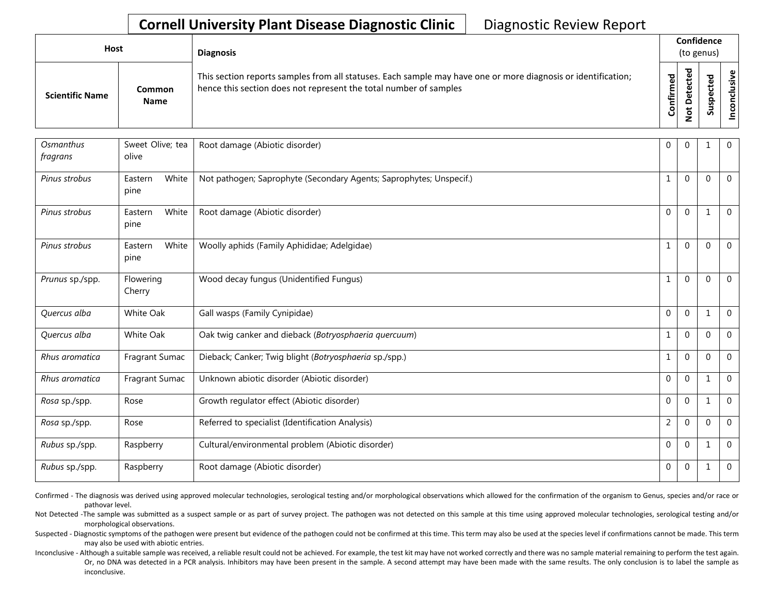## **Cornell University Plant Disease Diagnostic Clinic** | Diagnostic Review Report

| <b>Host</b>            |                       | <b>Diagnosis</b>                                                                                                                                                                   |               |                    | Confidence<br>(to genus)        |                     |
|------------------------|-----------------------|------------------------------------------------------------------------------------------------------------------------------------------------------------------------------------|---------------|--------------------|---------------------------------|---------------------|
| <b>Scientific Name</b> | Common<br><b>Name</b> | This section reports samples from all statuses. Each sample may have one or more diagnosis or identification;<br>hence this section does not represent the total number of samples | ъ<br>Confirme | ъ<br>$\Omega$<br>پ | ъ<br>Φ<br>∸<br>ω<br>௨<br>s<br>Ū | $\frac{1}{2}$<br>ی: |

| Osmanthus<br>fragrans | Sweet Olive; tea<br>olive | Root damage (Abiotic disorder)                                      | 0              | $\Omega$       | 1            | $\mathbf 0$    |
|-----------------------|---------------------------|---------------------------------------------------------------------|----------------|----------------|--------------|----------------|
| Pinus strobus         | White<br>Eastern<br>pine  | Not pathogen; Saprophyte (Secondary Agents; Saprophytes; Unspecif.) | 1              | $\Omega$       | $\Omega$     | $\Omega$       |
| Pinus strobus         | White<br>Eastern<br>pine  | Root damage (Abiotic disorder)                                      | $\mathbf{0}$   | $\overline{0}$ | $\mathbf{1}$ | $\mathbf{0}$   |
| Pinus strobus         | White<br>Eastern<br>pine  | Woolly aphids (Family Aphididae; Adelgidae)                         | $\mathbf{1}$   | $\Omega$       | $\Omega$     | $\mathbf{0}$   |
| Prunus sp./spp.       | Flowering<br>Cherry       | Wood decay fungus (Unidentified Fungus)                             | 1              | $\Omega$       | $\Omega$     | $\Omega$       |
| Quercus alba          | White Oak                 | Gall wasps (Family Cynipidae)                                       | $\Omega$       | $\Omega$       | $\mathbf{1}$ | $\Omega$       |
| Quercus alba          | White Oak                 | Oak twig canker and dieback (Botryosphaeria quercuum)               | 1              | $\Omega$       | $\Omega$     | $\Omega$       |
| Rhus aromatica        | Fragrant Sumac            | Dieback; Canker; Twig blight (Botryosphaeria sp./spp.)              | $\mathbf{1}$   | $\Omega$       | $\mathbf{0}$ | $\mathbf 0$    |
| Rhus aromatica        | Fragrant Sumac            | Unknown abiotic disorder (Abiotic disorder)                         | $\mathbf{0}$   | $\Omega$       | 1            | $\mathbf{0}$   |
| Rosa sp./spp.         | Rose                      | Growth regulator effect (Abiotic disorder)                          | $\mathbf{0}$   | $\overline{0}$ | 1            | $\mathbf{0}$   |
| Rosa sp./spp.         | Rose                      | Referred to specialist (Identification Analysis)                    | $\overline{2}$ | $\Omega$       | $\mathbf{0}$ | $\mathbf{0}$   |
| Rubus sp./spp.        | Raspberry                 | Cultural/environmental problem (Abiotic disorder)                   | $\mathbf{0}$   | $\mathbf{0}$   | $\mathbf{1}$ | $\mathbf{0}$   |
| Rubus sp./spp.        | Raspberry                 | Root damage (Abiotic disorder)                                      | $\mathbf{0}$   | $\mathbf 0$    | 1            | $\overline{0}$ |

Confirmed - The diagnosis was derived using approved molecular technologies, serological testing and/or morphological observations which allowed for the confirmation of the organism to Genus, species and/or race or pathovar level.

Not Detected -The sample was submitted as a suspect sample or as part of survey project. The pathogen was not detected on this sample at this time using approved molecular technologies, serological testing and/or morphological observations.

Suspected - Diagnostic symptoms of the pathogen were present but evidence of the pathogen could not be confirmed at this time. This term may also be used at the species level if confirmations cannot be made. This term may also be used with abiotic entries.

Inconclusive - Although a suitable sample was received, a reliable result could not be achieved. For example, the test kit may have not worked correctly and there was no sample material remaining to perform the test again. Or, no DNA was detected in a PCR analysis. Inhibitors may have been present in the sample. A second attempt may have been made with the same results. The only conclusion is to label the sample as inconclusive.